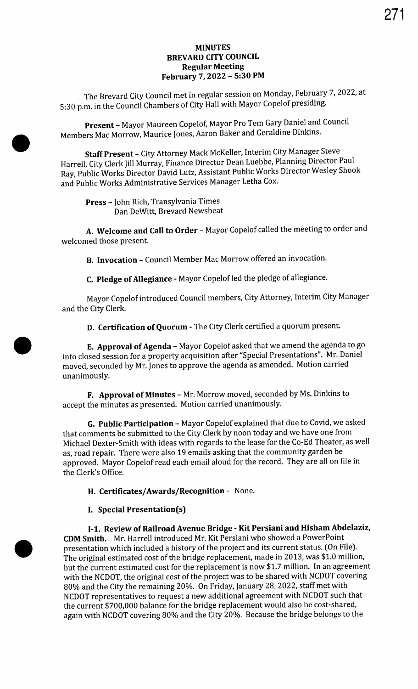## MINUTES BREVARD CITY COUNCIL Regular Meeting February 7, 2022 - 5:30 PM

The Brevard City Council met in regular session on Monday, February 7, 2022, at S: 30 p.m. in the Council Chambers of City Hall with Mayor Copelof presiding.

Present - Mayor Maureen Copelof, Mayor Pro Tem Gary Daniel and Council Members Mac Morrow, Maurice Jones, Aaron Baker and Geraldine Dinkins.

Staff Present - City Attorney Mack McKeller, Interim City Manager Steve Harrell, City Clerk Jill Murray, Finance Director Dean Luebbe, Planning Director Paul Ray, Public Works Director David Lutz, Assistant Public Works Director Wesley Shook and Public Works Administrative Services Manager Letha Cox.

Press - John Rich, Transylvania Times Dan DeWitt, Brevard Newsbeat

A. Welcome and Call to Order - Mayor Copelof called the meeting to order and welcomed those present.

B. Invocation - Council Member Mac Morrow offered an invocation.

C. Pledge of Allegiance - Mayor Copelof led the pledge of allegiance.

Mayor Copelof introduced Council members, City Attorney, Interim City Manager and the City Clerk.

D. Certification of Quorum - The City Clerk certified <sup>a</sup> quorum present.

E. Approval of Agenda - Mayor Copelof asked that we amend the agenda to go into closed session for <sup>a</sup> property acquisition after "Special Presentations". Mr. Daniel moved, seconded by Mr. Jones to approve the agenda as amended. Motion carried unanimously.

F. Approval of Minutes - Mr. Morrow moved, seconded by Ms. Dinkins to accept the minutes as presented. Motion carried unanimously.

G. Public Participation - Mayor Copelof explained that due to Covid, we asked that comments be submitted to the City Clerk by noon today and we have one from Michael Dexter -Smith with ideas with regards to the lease for the Co -Ed Theater, as well as, road repair. There were also 19 emails asking that the community garden be approved. Mayor Copelof read each email aloud for the record. They are all on file in the Clerk's Office.

H. Certificates/Awards/Recognition - None.

## I. Special Presentation(s)

I-1. Review of Railroad Avenue Bridge - Kit Persiani and Hisham Abdelaziz, CDM Smith. Mr. Harrell introduced Mr. Kit Persiani who showed a PowerPoint presentation which included <sup>a</sup> history of the project and its current status. ( On File). The original estimated cost of the bridge replacement, made in 2013, was \$1. 0 million, but the current estimated cost for the replacement is now \$1. 7 million. In an agreement with the NCDOT, the original cost of the project was to be shared with NCDOT covering 80% and the City the remaining 20%. On Friday, January 28, 2022, staff met with NCDOT representatives to request a new additional agreement with NCDOT such that the current \$700,000 balance for the bridge replacement would also be cost-shared, again with NCDOT covering 80% and the City 20%. Because the bridge belongs to the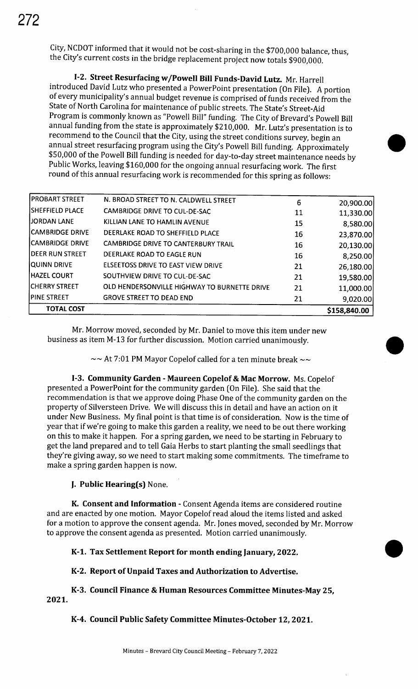City, NCDOT informed that it would not be cost-sharing in the \$700,000 balance, thus, the City's current costs in the bridge replacement project now totals \$900,000.

I-2. Street Resurfacing w/Powell Bill Funds-David Lutz. Mr. Harrell introduced David Lutz who presented <sup>a</sup> PowerPoint presentation (On File). A portion of every municipality's annual budget revenue is comprised of funds received from the State of North Carolina for maintenance of public streets. The State's Street-Aid Program is commonly known as "Powell Bill" funding. The City of Brevard's Powell Bill annual funding from the state is approximately \$210,000. Mr. Lutz's presentation is to recommend to the Council that the City, using the street conditions survey, begin an annual street resurfacing program using the City's Powell Bill funding. Approximately 50,000 of the Powell Bill funding is needed for day-to- day street maintenance needs by Public Works, leaving \$160,000 for the ongoing annual resurfacing work. The first round of this annual resurfacing work is recommended for this spring as follows:

| OLD HENDERSONVILLE HIGHWAY TO BURNETTE DRIVE<br><b>GROVE STREET TO DEAD END</b> | 21<br>21 | 9,020.00  |
|---------------------------------------------------------------------------------|----------|-----------|
|                                                                                 |          | 11,000.00 |
|                                                                                 |          |           |
| SOUTHVIEW DRIVE TO CUL-DE-SAC                                                   | 21       | 19,580.00 |
| ELSEETOSS DRIVE TO EAST VIEW DRIVE                                              | 21       | 26,180.00 |
| DEERLAKE ROAD TO EAGLE RUN                                                      | 16       | 8,250.00  |
| <b>CAMBRIDGE DRIVE TO CANTERBURY TRAIL</b>                                      | 16       | 20,130.00 |
| DEERLAKE ROAD TO SHEFFIELD PLACE                                                | 16       | 23,870.00 |
| KILLIAN LANE TO HAMLIN AVENUE                                                   | 15       | 8,580.00  |
| CAMBRIDGE DRIVE TO CUL-DE-SAC                                                   | 11       | 11,330.00 |
| N. BROAD STREET TO N. CALDWELL STREET                                           | 6        | 20,900.00 |
|                                                                                 |          |           |

Mr. Morrow moved, seconded by Mr. Daniel to move this item under new business as item M-13 for further discussion. Motion carried unanimously.

 $\sim$  At 7:01 PM Mayor Copelof called for a ten minute break  $\sim$ 

I-3. Community Garden - Maureen Copelof & Mac Morrow. Ms. Copelof presented <sup>a</sup> PowerPoint for the community garden ( On File). She said that the recommendation is that we approve doing Phase One of the community garden on the property of Silversteen Drive. We will discuss this in detail and have an action on it under New Business. My final point is that time is of consideration. Now is the time of year that if we're going to make this garden <sup>a</sup> reality, we need to be out there working on this to make it happen. For <sup>a</sup> spring garden, we need to be starting in February to get the land prepared and to tell Gaia Herbs to start planting the small seedlings that they're giving away, so we need to start making some commitments. The timeframe to make a spring garden happen is now.

**J. Public Hearing(s) None.** 

K. Consent and Information - Consent Agenda items are considered routine and are enacted by one motion. Mayor Copelof read aloud the items listed and asked for a motion to approve the consent agenda. Mr. Jones moved, seconded by Mr. Morrow to approve the consent agenda as presented. Motion carried unanimously.

# K-1. Tax Settlement Report for month ending January, 2022.

# K-2. Report of Unpaid Taxes and Authorization to Advertise.

2021. K-3. Council Finance & Human Resources Committee Minutes -May 25,

K-4. Council Public Safety Committee Minutes-October 12, 2021.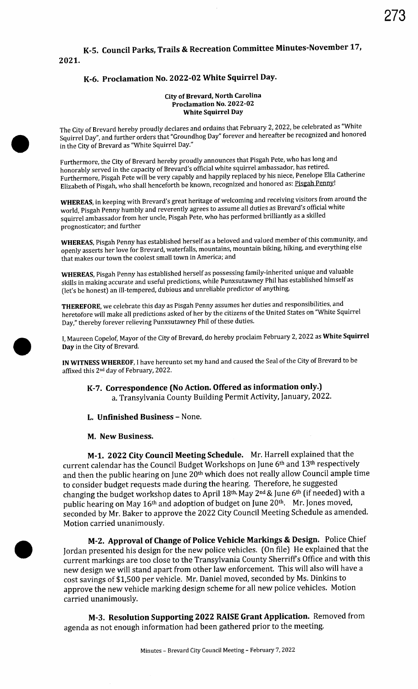# 2021. K-5. Council Parks, Trails & Recreation Committee Minutes -November 17,

## K-6. Proclamation No. 2022-02 White Squirrel Day.

#### City of Brevard, North Carolina Proclamation No. 2022-02 White Squirrel Day

The City of Brevard hereby proudly declares and ordains that February 2, 2022, be celebrated as " White Squirrel Day", and further orders that "Groundhog Day" forever and hereafter be recognized and honored in the City of Brevard as " White Squirrel Day."

Furthermore, the City of Brevard hereby proudly announces that Pisgah Pete, who has long and honorably served in the capacity of Brevard's official white squirrel ambassador, has retired. Furthermore, Pisgah Pete will be very capably and happily replaced by his niece, Penelope Ella Catherine Elizabeth of Pisgah, who shall henceforth be known, recognized and honored as: Pisgah Penny!

WHEREAS, in keeping with Brevard's great heritage of welcoming and receiving visitors from around the world, Pisgah Penny humbly and reverently agrees to assume all duties as Brevard's official white squirrel ambassador from her uncle, Pisgah Pete, who has performed brilliantly as <sup>a</sup> skilled prognosticator; and further

WHEREAS, Pisgah Penny has established herself as a beloved and valued member of this community, and openly asserts her love for Brevard, waterfalls, mountains, mountain biking, hiking, and everything else that makes our town the coolest small town in America; and

WHEREAS, Pisgah Penny has established herself as possessing family -inherited unique and valuable skills in making accurate and useful predictions, while Punxsutawney Phil has established himself as let's be honest) an ill-tempered, dubious and unreliable predictor of anything.

THEREFORE, we celebrate this day as Pisgah Penny assumes her duties and responsibilities, and heretofore will make all predictions asked of her by the citizens of the United States on "White Squirrel Day," thereby forever relieving Punxsutawney Phil of these duties.

I, Maureen Copelof, Mayor of the City of Brevard, do hereby proclaim February 2, 2022 as White Squirrel Day in the City of Brevard.

IN WITNESS WHEREOF, I have hereunto set my hand and caused the Seal of the City of Brevard to be affixed this 2nd day of February, 2022.

K-7. Correspondence ( No Action. Offered as information only.) a. Transylvania County Building Permit Activity, January, 2022.

L. Unfinished Business - None.

### M. New Business.

M-1. 2022 City Council Meeting Schedule. Mr. Harrell explained that the current calendar has the Council Budget Workshops on June 6th and 13th respectively and then the public hearing on June 20<sup>th</sup> which does not really allow Council ample time to consider budget requests made during the hearing. Therefore, he suggested changing the budget workshop dates to April 18th, May 2nd & June 6th (if needed) with a public hearing on May 16<sup>th</sup> and adoption of budget on June 20<sup>th</sup>. Mr. Jones moved, seconded by Mr. Baker to approve the 2022 City Council Meeting Schedule as amended. Motion carried unanimously.

M-2. Approval of Change of Police Vehicle Markings & Design. Police Chief Jordan presented his design for the new police vehicles. ( On file) He explained that the current markings are too close to the Transylvania County Sherriff's Office and with this new design we will stand apart from other law enforcement. This will also will have <sup>a</sup> cost savings of \$1, 500 per vehicle. Mr. Daniel moved, seconded by Ms. Dinkins to approve the new vehicle marking design scheme for all new police vehicles. Motion carried unanimously.

M-3. Resolution Supporting 2022 RAISE Grant Application. Removed from agenda as not enough information had been gathered prior to the meeting.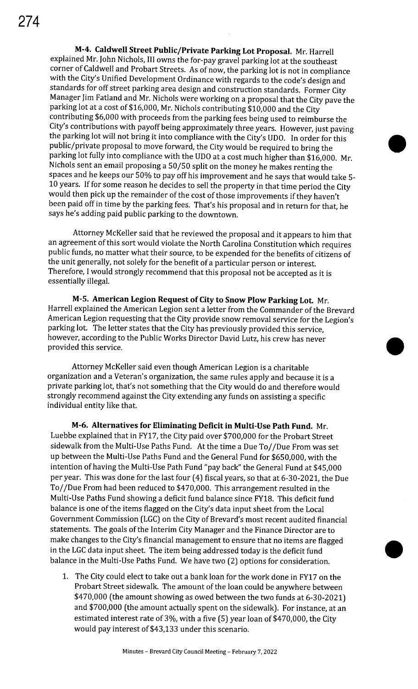M-4. Caldwell Street Public/Private Parking Lot Proposal. Mr. Harrell explained Mr. John Nichols, III owns the for -pay gravel parking lot at the southeast corner of Caldwell and Probart Streets. As of now, the parking lot is not in compliance with the City's Unified Development Ordinance with regards to the code's design and standards for off street parking area design and construction standards. Former City Manager Jim Fatland and Mr. Nichols were working on a proposal that the City pave the parking lot at a cost of \$16,000, Mr. Nichols contributing \$10,000 and the City contributing \$6,000 with proceeds from the parking fees being used to reimburse the City's contributions with payoff being approximately three years. However, just paving the parking lot will not bring it into compliance with the City's UDO. In order for this public/private proposal to move forward, the City would be required to bring the parking lot fully into compliance with the UDO at <sup>a</sup> cost much higher than \$16,000. Mr. Nichols sent an email proposing a 50/ 50 split on the money he makes renting the spaces and he keeps our 50% to pay off his improvement and he says that would take 5- 10 years. If for some reason he decides to sell the property in that time period the City would then pick up the remainder of the cost of those improvements if they haven't been paid off in time by the parking fees. That's his proposal and in return for that, he says he's adding paid public parking to the downtown.

Attorney McKeller said that he reviewed the proposal and it appears to him that an agreement of this sort would violate the North Carolina Constitution which requires public funds, no matter what their source, to be expended for the benefits of citizens of the unit generally, not solely for the benefit of a particular person or interest. Therefore, I would strongly recommend that this proposal not be accepted as it is essentially illegal.

M-5. American Legion Request of City to Snow Plow Parking Lot. Mr. Harrell explained the American Legion sent a letter from the Commander of the Brevard American Legion requesting that the City provide snow removal service for the Legion's parking lot. The letter states that the City has previously provided this service, however, according to the Public Works Director David Lutz, his crew has never parting four the letter states that the enty has previously provided this service,<br>however, according to the Public Works Director David Lutz, his crew has never<br>provided this service.

Attorney McKeller said even though American Legion is a charitable organization and a Veteran's organization, the same rules apply and because it is a private parking lot, that's not something that the City would do and therefore would strongly recommend against the City extending any funds on assisting a specific individual entity like that.

M-6. Alternatives for Eliminating Deficit in Multi-Use Path Fund. Mr. Luebbe explained that in FY17, the City paid over \$700,000 for the Probart Street sidewalk from the Multi-Use Paths Fund. At the time a Due To//Due From was set up between the Multi -Use Paths Fund and the General Fund for \$650,000, with the intention of having the Multi-Use Path Fund "pay back" the General Fund at \$45,000 per year. This was done for the last four (4) fiscal years, so that at 6-30-2021, the Due To// Due From had been reduced to \$470,000. This arrangement resulted in the Multi-Use Paths Fund showing a deficit fund balance since FY18. This deficit fund balance is one of the items flagged on the City's data input sheet from the Local Government Commission ( LGC) on the City of Brevard' <sup>s</sup> most recent audited financial statements. The goals of the Interim City Manager and the Finance Director are to make changes to the City's financial management to ensure that no items are flagged in the LGC data input sheet. The item being addressed today is the deficit fund balance in the Multi-Use Paths Fund. We have two (2) options for consideration.

1. The City could elect to take out a bank loan for the work done in FY17 on the Probart Street sidewalk. The amount of the loan could be anywhere between \$470,000 (the amount showing as owed between the two funds at 6-30-2021) and \$700,000 (the amount actually spent on the sidewalk). For instance, at an estimated interest rate of 3%, with a five (5) year loan of \$470,000, the City would pay interest of \$43, 133 under this scenario.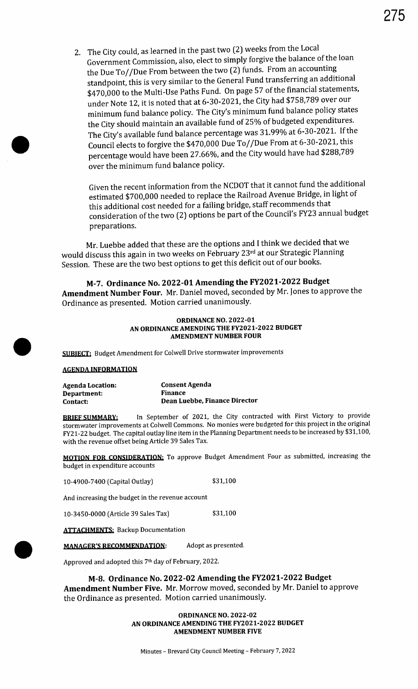2. The City could, as learned in the past two (2) weeks from the Local Government Commission, also, elect to simply forgive the balance of the loan the Due To// Due From between the two (2) funds. From an accounting standpoint, this is very similar to the General Fund transferring an additional \$470,000 to the Multi-Use Paths Fund. On page 57 of the financial statements, under Note 12, it is noted that at 6-30-2021, the City had \$758,789 over our minimum fund balance policy. The City's minimum fund balance policy states the City should maintain an available fund of 25% of budgeted expenditures. The City's available fund balance percentage was 31.99% at 6-30-2021. If the Council elects to forgive the \$470,000 Due To// Due From at 6- 30- 2021, this percentage would have been 27.66%, and the City would have had \$288,789 over the minimum fund balance policy.

Given the recent information from the NCDOT that it cannot fund the additional estimated \$700,000 needed to replace the Railroad Avenue Bridge, in light of this additional cost needed for a failing bridge, staff recommends that consideration of the two (2) options be part of the Council's FY23 annual budget preparations.

Mr. Luebbe added that these are the options and I think we decided that we would discuss this again in two weeks on February 23rd at our Strategic Planning Session. These are the two best options to get this deficit out of our books.

M-7. Ordinance No. 2022-01 Amending the FY2021-2022 Budget Amendment Number Four. Mr. Daniel moved, seconded by Mr. Jones to approve the Ordinance as presented. Motion carried unanimously.

#### **ORDINANCE NO. 2022-01** AN ORDINANCE AMENDING THE FY2021-2022 BUDGET AMENDMENT NUMBER FOUR

SUBIECT: Budget Amendment for Colwell Drive stormwater improvements

### **AGENDA INFORMATION**

| Agenda Location:   | Consent Agenda                |
|--------------------|-------------------------------|
| <b>Department:</b> | <b>Finance</b>                |
| Contact:           | Dean Luebbe, Finance Director |

BRIEF SUMMARY: In September of 2021, the City contracted with First Victory to provide stormwater improvements at Colwell Commons. No monies were budgeted for this project in the original FY21- 22 budget. The capital outlay line item in the Planning Department needs to be increased by \$31, 100, with the revenue offset being Article 39 Sales Tax.

MOTION FOR CONSIDERATION: To approve Budget Amendment Four as submitted, increasing the budget in expenditure accounts

10-4900-7400 (Capital Outlay) \$31,100

And increasing the budget in the revenue account

10- 3450- 0000 (Article 39 Sales Tax) \$ 31, 100

**ATTACHMENTS: Backup Documentation** 

MANAGER'S RECOMMENDATION: Adopt as presented.

Approved and adopted this 71h day of February, 2022.

## M-8. Ordinance No. 2022-02 Amending the FY2021-2022 Budget

Amendment Number Five. Mr. Morrow moved, seconded by Mr. Daniel to approve the Ordinance as presented. Motion carried unanimously.

> **ORDINANCE NO. 2022-02** AN ORDINANCE AMENDING THE FY2021-2022 BUDGET AMENDMENT NUMBER FIVE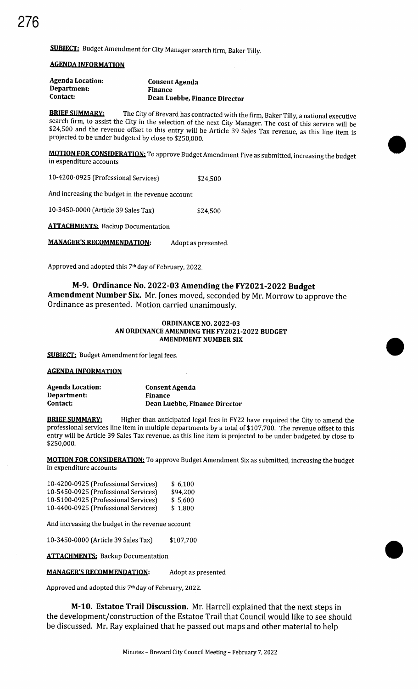SUBIECT: Budget Amendment for City Manager search firm, Baker Tilly.

### **AGENDA INFORMATION**

| <b>Agenda Location:</b> | Consent Agenda                |
|-------------------------|-------------------------------|
| Department:             | Finance                       |
| Contact:                | Dean Luebbe, Finance Director |

**BRIEF SUMMARY:** The City of Brevard has contracted with the firm, Baker Tilly, a national executive search firm, to assist the City in the selection of the next City Manager. The cost of this service will be \$24,500 and the revenue offset to this entry will be Article 39 Sales Tax revenue, as this line item is projected to be under budgeted by close to \$250,000.

MOTION FOR CONSIDERATION: To approve Budget Amendment Five as submitted, increasing the budget in expenditure accounts

10-4200-0925 (Professional Services) \$24.500

And increasing the budget in the revenue account

10- 3450- 0000 (Article 39 Sales Tax) 24,500

**ATTACHMENTS: Backup Documentation** 

MANAGER'S RECOMMENDATION: Adopt as presented.

Approved and adopted this 7<sup>th</sup> day of February, 2022.

## M-9. Ordinance No. 2022-03 Amending the FY2021-2022 Budget

Amendment Number Six. Mr. Jones moved, seconded by Mr. Morrow to approve the Ordinance as presented. Motion carried unanimously.

#### **ORDINANCE NO. 2022-03** AN ORDINANCE AMENDING THE FY2021-2022 BUDGET AMENDMENT NUMBER SIX

**SUBIECT:** Budget Amendment for legal fees.

#### **AGENDA INFORMATION**

| Agenda Location: | <b>Consent Agenda</b>         |
|------------------|-------------------------------|
| Department:      | <b>Finance</b>                |
| Contact:         | Dean Luebbe, Finance Director |

**BRIEF SUMMARY:** Higher than anticipated legal fees in FY22 have required the City to amend the professional services line item in multiple departments by a total of \$107,700. The revenue offset to this entry will be Article 39 Sales Tax revenue, as this line item is projected to be under budgeted by close to 250,000.

**MOTION FOR CONSIDERATION:** To approve Budget Amendment Six as submitted, increasing the budget in expenditure accounts

| 10-4200-0925 (Professional Services) | \$6.100  |
|--------------------------------------|----------|
| 10-5450-0925 (Professional Services) | \$94,200 |
| 10-5100-0925 (Professional Services) | \$ 5.600 |
| 10-4400-0925 (Professional Services) | \$1,800  |

And increasing the budget in the revenue account

10- 3450- 0000 (Article 39 Sales Tax) \$ 107,700

**ATTACHMENTS: Backup Documentation** 

MANAGER'S RECOMMENDATION: Adopt as presented

Approved and adopted this 7<sup>th</sup> day of February, 2022.

**M-10. Estatoe Trail Discussion.** Mr. Harrell explained that the next steps in the development/ construction of the Estatoe Trail that Council would like to see should be discussed. Mr. Ray explained that he passed out maps and other material to help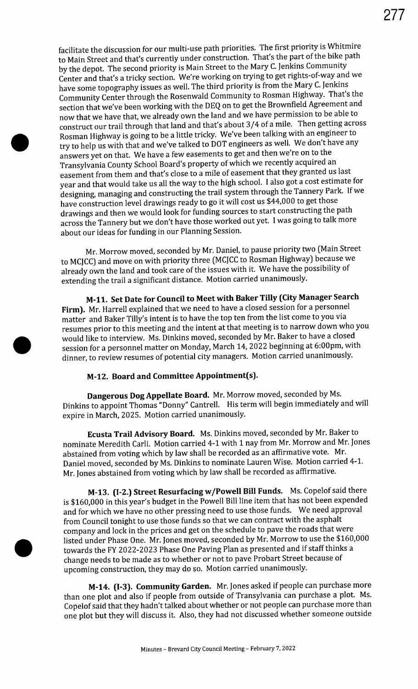facilitate the discussion for our multi-use path priorities. The first priority is Whitmire to Main Street and that's currently under construction. That's the part of the bike path by the depot. The second priority is Main Street to the Mary C. Jenkins Community Center and that's a tricky section. We're working on trying to get rights-of-way and we have some topography issues as well. The third priority is from the Mary C. Jenkins Community Center through the Rosenwald Community to Rosman Highway. That's the section that we've been working with the DEQ on to get the Brownfield Agreement and now that we have that, we already own the land and we have permission to be able to construct our trail through that land and that's about 3/4 of a mile. Then getting across Rosman Highway is going to be <sup>a</sup> little tricky. We've been talking with an engineer to try to help us with that and we've talked to DOT engineers as well. We don't have any answers yet on that. We have <sup>a</sup> few easements to get and then we're on to the Transylvania County School Board's property of which we recently acquired an easement from them and that's close to a mile of easement that they granted us last year and that would take us all the way to the high school. I also got a cost estimate for designing, managing and constructing the trail system through the Tannery Park. If we have construction level drawings ready to go it will cost us \$44,000 to get those drawings and then we would look for funding sources to start constructing the path across the Tannery but we don't have those worked out yet. I was going to talk more about our ideas for funding in our Planning Session.

Mr. Morrow moved, seconded by Mr. Daniel, to pause priority two (Main Street to MCJCC) and move on with priority three (MCJCC to Rosman Highway) because we already own the land and took care of the issues with it. We have the possibility of extending the trail a significant distance. Motion carried unanimously.

M- 11. Set Date for Council to Meet with Baker Tilly (City Manager Search Firm). Mr. Harrell explained that we need to have a closed session for a personnel matter and Baker Tilly's intent is to have the top ten from the list come to you via resumes prior to this meeting and the intent at that meeting is to narrow down who you would like to interview. Ms. Dinkins moved, seconded by Mr. Baker to have a closed session for a personnel matter on Monday, March 14, 2022 beginning at 6:00pm, with dinner, to review resumes of potential city managers. Motion carried unanimously.

# M-12. Board and Committee Appointment(s).

Dangerous Dog Appellate Board. Mr. Morrow moved, seconded by Ms. Dinkins to appoint Thomas " Donny" Cantrell. His term will begin immediately and will expire in March, 2025. Motion carried unanimously.

Ecusta Trail Advisory Board. Ms. Dinkins moved, seconded by Mr. Baker to nominate Meredith Carli. Motion carried 4-1 with 1 nay from Mr. Morrow and Mr. Jones abstained from voting which by law shall be recorded as an affirmative vote. Mr. Daniel moved, seconded by Ms. Dinkins to nominate Lauren Wise. Motion carried 4-1. Mr. Jones abstained from voting which by law shall be recorded as affirmative.

M-13. (I-2.) Street Resurfacing w/Powell Bill Funds. Ms. Copelof said there is \$160,000 in this year's budget in the Powell Bill line item that has not been expended and for which we have no other pressing need to use those funds. We need approval from Council tonight to use those funds so that we can contract with the asphalt company and lock in the prices and get on the schedule to pave the roads that were listed under Phase One. Mr. Jones moved, seconded by Mr. Morrow to use the \$160, 000 towards the FY 2022- 2023 Phase One Paving Plan as presented and if staff thinks <sup>a</sup> change needs to be made as to whether or not to pave Probart Street because of upcoming construction, they may do so. Motion carried unanimously.

M-14. (I-3). Community Garden. Mr. Jones asked if people can purchase more than one plot and also if people from outside of Transylvania can purchase <sup>a</sup> plot. Ms. Copelof said that they hadn't talked about whether or not people can purchase more than one plot but they will discuss it. Also, they had not discussed whether someone outside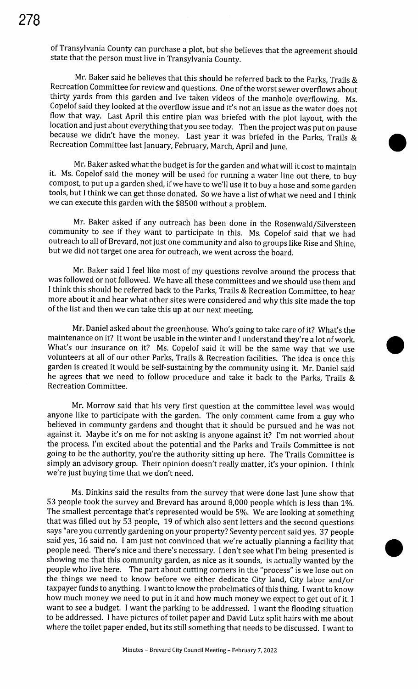of Transylvania County can purchase a plot, but she believes that the agreement should state that the person must live in Transylvania County.

Mr. Baker said he believes that this should be referred back to the Parks, Trails & Recreation Committee for review and questions. One of the worst sewer overflows about thirty yards from this garden and Ive taken videos of the manhole overflowing. Ms. Copelof said they looked at the overflow issue and it's not an issue as the water does not flow that way. Last April this entire plan was briefed with the plot layout, with the location and just about everything that you see today. Then the project was put on pause because we didn't have the money. Last year it was briefed in the Parks, Trails & • Recreation Committee last January, February, March, April and June.

Mr. Baker asked what the budget is for the garden and what will it cost to maintain it. Ms. Copelof said the money will be used for running <sup>a</sup> water line out there, to buy compost, to put up <sup>a</sup> garden shed, ifwe have to we'll use it to buy <sup>a</sup> hose and some garden tools, but <sup>I</sup> think we can get those donated. So we have a list of what we need and I think we can execute this garden with the \$8500 without a problem.

Mr. Baker asked if any outreach has been done in the Rosenwald/Silversteen community to see if they want to participate in this. Ms. Copelof said that we had outreach to all of Brevard, not just one community and also to groups like Rise and Shine, but we did not target one area for outreach, we went across the board.

Mr. Baker said <sup>I</sup> feel like most of my questions revolve around the process that was followed or not followed. We have all these committees and we should use them and I think this should be referred back to the Parks, Trails & Recreation Committee, to hear more about it and hear what other sites were considered and why this site made the top of the list and then we can take this up at our next meeting.

Mr. Daniel asked about the greenhouse. Who's going to take care of it? What's the maintenance on it? It wont be usable in the winter and <sup>I</sup> understand they're <sup>a</sup> lot of work. • What's our insurance on it? Ms. Copelof said it will be the same way that we use volunteers at all of our other Parks, Trails & Recreation facilities. The idea is once this garden is created it would be self-sustaining by the community using it. Mr. Daniel said he agrees that we need to follow procedure and take it back to the Parks, Trails & Recreation Committee.

Mr. Morrow said that his very first question at the committee level was would anyone like to participate with the garden. The only comment came from <sup>a</sup> guy who believed in communty gardens and thought that it should be pursued and he was not against it. Maybe it's on me for not asking is anyone against it? I'm not worried about the process. I'm excited about the potential and the Parks and Trails Committee is not going to be the authority, you're the authority sitting up here. The Trails Committee is simply an advisory group. Their opinion doesn't really matter, it's your opinion. I think we're just buying time that we don't need.

Ms. Dinkins said the results from the survey that were done last June show that 53 people took the survey and Brevard has around 8, 000 people which is less than 1%. The smallest percentage that's represented would be 5%. We are looking at something that was filled out by 53 people, 19 of which also sent letters and the second questions says " are you currently gardening on your property? Seventy percent said yes. 37 people said yes, 16 said no. I am just not convinced that we're actually planning a facility that people need. There's nice and there's necessary. I don't see what I'm being presented is showing me that this community garden, as nice as it sounds, is actually wanted by the people who live here. The part about cutting corners in the "process" is we lose out on the things we need to know before we either dedicate City land, City labor and/or taxpayer funds to anything. I want to know the probelmatics of this thing. I want to know how much money we need to put in it and how much money we expect to get out of it. I want to see a budget. I want the parking to be addressed. I want the flooding situation to be addressed. I have pictures of toilet paper and David Lutz split hairs with me about where the toilet paper ended, but its still something that needs to be discussed. I want to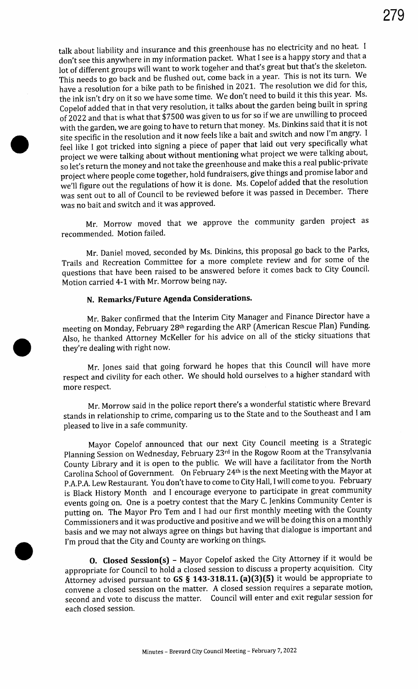talk about liability and insurance and this greenhouse has no electricity and no heat. I don't see this anywhere in my information packet. What I see is a happy story and that <sup>a</sup> lot of different groups will want to work togeher and that's great but that's the skeleton. This needs to go back and be flushed out, come back in a year. This is not its turn. We have a resolution for a bike path to be finished in 2021. The resolution we did for this, the ink isn't dry on it so we have some time. We don't need to build it this this year. Ms. Copelof added that in that very resolution, it talks about the garden being built in spring of 2022 and that is what that \$7500 was given to us for so if we are unwilling to proceed with the garden, we are going to have to return that money. Ms. Dinkins said that it is not site specific in the resolution and it now feels like a bait and switch and now I'm angry. I feel like I got tricked into signing a piece of paper that laid out very specifically what project we were talking about without mentioning what project we were talking about, so let's return the money and not take the greenhouse and make this a real public-private project where people come together, hold fundraisers, give things and promise labor and we'll figure out the regulations of how it is done. Ms. Copelof added that the resolution was sent out to all of Council to be reviewed before it was passed in December. There was no bait and switch and it was approved.

Mr. Morrow moved that we approve the community garden project as recommended. Motion failed.

Mr. Daniel moved, seconded by Ms. Dinkins, this proposal go back to the Parks, Trails and Recreation Committee for a more complete review and for some of the questions that have been raised to be answered before it comes back to City Council. Motion carried 4-1 with Mr. Morrow being nay.

# N. Remarks/ Future Agenda Considerations.

Mr. Baker confirmed that the Interim City Manager and Finance Director have a meeting on Monday, February 28<sup>th</sup> regarding the ARP (American Rescue Plan) Funding. Also, he thanked Attorney McKeller for his advice on all of the sticky situations that they're dealing with right now.

Mr. Jones said that going forward he hopes that this Council will have more respect and civility for each other. We should hold ourselves to a higher standard with more respect.

Mr. Morrow said in the police report there's a wonderful statistic where Brevard stands in relationship to crime, comparing us to the State and to the Southeast and I am pleased to live in a safe community.

Mayor Copelof announced that our next City Council meeting is a Strategic Planning Session on Wednesday, February 23rd in the Rogow Room at the Transylvania County Library and it is open to the public. We will have <sup>a</sup> facilitator from the North Carolina School of Government. On February 24th is the next Meeting with the Mayor at P.A.P.A. Lew Restaurant. You don't have to come to City Hall, I will come to you. February is Black History Month and I encourage everyone to participate in great community events going on. One is a poetry contest that the Mary C. Jenkins Community Center is putting on. The Mayor Pro Tem and <sup>I</sup> had our first monthly meeting with the County Commissioners and it was productive and positive and we will be doing this on <sup>a</sup> monthly basis and we may not always agree on things but having that dialogue is important and I'm proud that the City and County are working on things.

O. Closed Session(s) - Mayor Copelof asked the City Attorney if it would be appropriate for Council to hold a closed session to discuss <sup>a</sup> property acquisition. City Attorney advised pursuant to  $GS \$  143-318.11.  $(a)(3)(5)$  it would be appropriate to convene a closed session on the matter. A closed session requires a separate motion, second and vote to discuss the matter. Council will enter and exit regular session for each closed session.